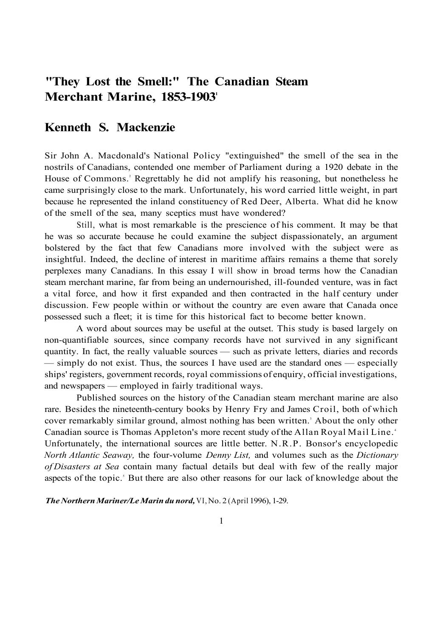# **"They Lost the Smell:" The Canadian Steam Merchant Marine, 1853-1903**<sup>1</sup>

# **Kenneth S. Mackenzie**

Sir John A. Macdonald's National Policy "extinguished" the smell of the sea in the nostrils of Canadians, contended one member of Parliament during a 1920 debate in the House of Commons.<sup>2</sup> Regrettably he did not amplify his reasoning, but nonetheless he came surprisingly close to the mark. Unfortunately, his word carried little weight, in part because he represented the inland constituency of Red Deer, Alberta. What did he know of the smell of the sea, many sceptics must have wondered?

Still, what is most remarkable is the prescience of his comment. It may be that he was so accurate because he could examine the subject dispassionately, an argument bolstered by the fact that few Canadians more involved with the subject were as insightful. Indeed, the decline of interest in maritime affairs remains a theme that sorely perplexes many Canadians. In this essay I will show in broad terms how the Canadian steam merchant marine, far from being an undernourished, ill-founded venture, was in fact a vital force, and how it first expanded and then contracted in the half century under discussion. Few people within or without the country are even aware that Canada once possessed such a fleet; it is time for this historical fact to become better known.

A word about sources may be useful at the outset. This study is based largely on non-quantifiable sources, since company records have not survived in any significant quantity. In fact, the really valuable sources — such as private letters, diaries and records — simply do not exist. Thus, the sources I have used are the standard ones — especially ships' registers, government records, royal commissions of enquiry, official investigations, and newspapers — employed in fairly traditional ways.

Published sources on the history of the Canadian steam merchant marine are also rare. Besides the nineteenth-century books by Henry Fry and James Croil, both of which cover remarkably similar ground, almost nothing has been written.<sup>3</sup> About the only other Canadian source is Thomas Appleton's more recent study of the Allan Royal Mail Line. <sup>4</sup> Unfortunately, the international sources are little better. N.R.P. Bonsor's encyclopedic *North Atlantic Seaway,* the four-volume *Denny List,* and volumes such as the *Dictionary of Disasters at Sea* contain many factual details but deal with few of the really major aspects of the topic.<sup>5</sup> But there are also other reasons for our lack of knowledge about the

*The Northern Mariner/Le Marin du nord,* VI, No. 2 (April 1996), 1-29.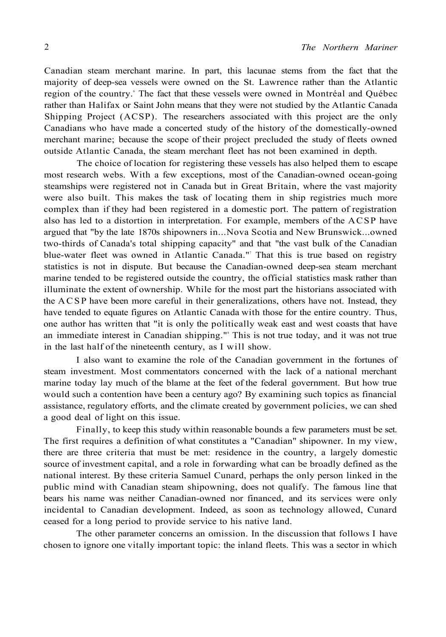Canadian steam merchant marine. In part, this lacunae stems from the fact that the majority of deep-sea vessels were owned on the St. Lawrence rather than the Atlantic region of the country. The fact that these vessels were owned in Montréal and Québec rather than Halifax or Saint John means that they were not studied by the Atlantic Canada Shipping Project (ACSP). The researchers associated with this project are the only Canadians who have made a concerted study of the history of the domestically-owned merchant marine; because the scope of their project precluded the study of fleets owned outside Atlantic Canada, the steam merchant fleet has not been examined in depth.

The choice of location for registering these vessels has also helped them to escape most research webs. With a few exceptions, most of the Canadian-owned ocean-going steamships were registered not in Canada but in Great Britain, where the vast majority were also built. This makes the task of locating them in ship registries much more complex than if they had been registered in a domestic port. The pattern of registration also has led to a distortion in interpretation. For example, members of the ACSP have argued that "by the late 1870s shipowners in...Nova Scotia and New Brunswick...owned two-thirds of Canada's total shipping capacity" and that "the vast bulk of the Canadian blue-water fleet was owned in Atlantic Canada." That this is true based on registry statistics is not in dispute. But because the Canadian-owned deep-sea steam merchant marine tended to be registered outside the country, the official statistics mask rather than illuminate the extent of ownership. While for the most part the historians associated with the ACSP have been more careful in their generalizations, others have not. Instead, they have tended to equate figures on Atlantic Canada with those for the entire country. Thus, one author has written that "it is only the politically weak east and west coasts that have an immediate interest in Canadian shipping." This is not true today, and it was not true in the last half of the nineteenth century, as I will show.

I also want to examine the role of the Canadian government in the fortunes of steam investment. Most commentators concerned with the lack of a national merchant marine today lay much of the blame at the feet of the federal government. But how true would such a contention have been a century ago? By examining such topics as financial assistance, regulatory efforts, and the climate created by government policies, we can shed a good deal of light on this issue.

Finally, to keep this study within reasonable bounds a few parameters must be set. The first requires a definition of what constitutes a "Canadian" shipowner. In my view, there are three criteria that must be met: residence in the country, a largely domestic source of investment capital, and a role in forwarding what can be broadly defined as the national interest. By these criteria Samuel Cunard, perhaps the only person linked in the public mind with Canadian steam shipowning, does not qualify. The famous line that bears his name was neither Canadian-owned nor financed, and its services were only incidental to Canadian development. Indeed, as soon as technology allowed, Cunard ceased for a long period to provide service to his native land.

The other parameter concerns an omission. In the discussion that follows I have chosen to ignore one vitally important topic: the inland fleets. This was a sector in which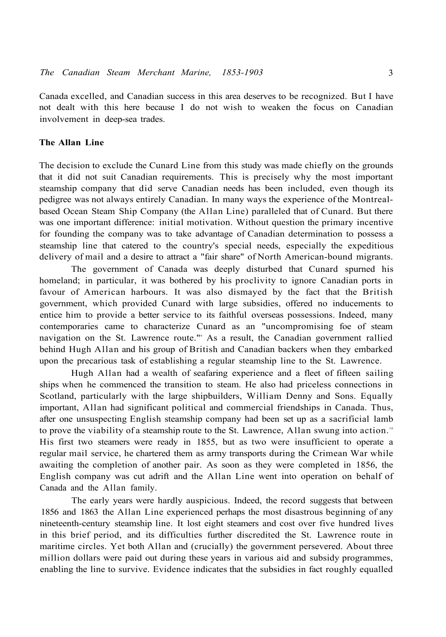Canada excelled, and Canadian success in this area deserves to be recognized. But I have not dealt with this here because I do not wish to weaken the focus on Canadian involvement in deep-sea trades.

# **The Allan Line**

The decision to exclude the Cunard Line from this study was made chiefly on the grounds that it did not suit Canadian requirements. This is precisely why the most important steamship company that did serve Canadian needs has been included, even though its pedigree was not always entirely Canadian. In many ways the experience of the Montrealbased Ocean Steam Ship Company (the Allan Line) paralleled that of Cunard. But there was one important difference: initial motivation. Without question the primary incentive for founding the company was to take advantage of Canadian determination to possess a steamship line that catered to the country's special needs, especially the expeditious delivery of mail and a desire to attract a "fair share" of North American-bound migrants.

The government of Canada was deeply disturbed that Cunard spurned his homeland; in particular, it was bothered by his proclivity to ignore Canadian ports in favour of American harbours. It was also dismayed by the fact that the British government, which provided Cunard with large subsidies, offered no inducements to entice him to provide a better service to its faithful overseas possessions. Indeed, many contemporaries came to characterize Cunard as an "uncompromising foe of steam navigation on the St. Lawrence route."<sup>9</sup> As a result, the Canadian government rallied behind Hugh Allan and his group of British and Canadian backers when they embarked upon the precarious task of establishing a regular steamship line to the St. Lawrence.

Hugh Allan had a wealth of seafaring experience and a fleet of fifteen sailing ships when he commenced the transition to steam. He also had priceless connections in Scotland, particularly with the large shipbuilders, William Denny and Sons. Equally important, Allan had significant political and commercial friendships in Canada. Thus, after one unsuspecting English steamship company had been set up as a sacrificial lamb to prove the viability of a steamship route to the St. Lawrence, Allan swung into action.<sup>10</sup> His first two steamers were ready in 1855, but as two were insufficient to operate a regular mail service, he chartered them as army transports during the Crimean War while awaiting the completion of another pair. As soon as they were completed in 1856, the English company was cut adrift and the Allan Line went into operation on behalf of Canada and the Allan family.

The early years were hardly auspicious. Indeed, the record suggests that between 1856 and 1863 the Allan Line experienced perhaps the most disastrous beginning of any nineteenth-century steamship line. It lost eight steamers and cost over five hundred lives in this brief period, and its difficulties further discredited the St. Lawrence route in maritime circles. Yet both Allan and (crucially) the government persevered. About three million dollars were paid out during these years in various aid and subsidy programmes, enabling the line to survive. Evidence indicates that the subsidies in fact roughly equalled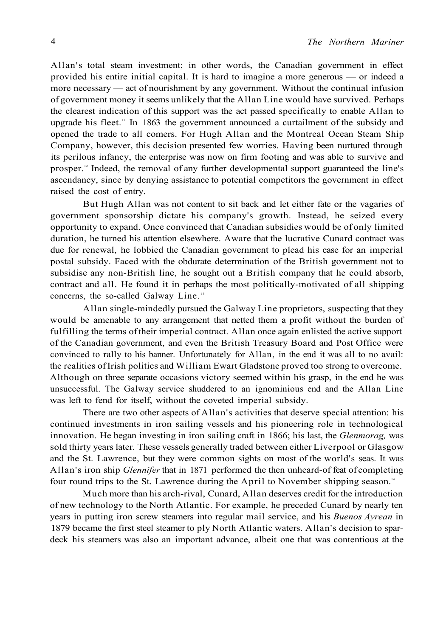Allan's total steam investment; in other words, the Canadian government in effect provided his entire initial capital. It is hard to imagine a more generous — or indeed a more necessary — act of nourishment by any government. Without the continual infusion of government money it seems unlikely that the Allan Line would have survived. Perhaps the clearest indication of this support was the act passed specifically to enable Allan to upgrade his fleet.<sup>11</sup> In 1863 the government announced a curtailment of the subsidy and opened the trade to all comers. For Hugh Allan and the Montreal Ocean Steam Ship Company, however, this decision presented few worries. Having been nurtured through its perilous infancy, the enterprise was now on firm footing and was able to survive and prosper.<sup>12</sup> Indeed, the removal of any further developmental support guaranteed the line's ascendancy, since by denying assistance to potential competitors the government in effect raised the cost of entry.

But Hugh Allan was not content to sit back and let either fate or the vagaries of government sponsorship dictate his company's growth. Instead, he seized every opportunity to expand. Once convinced that Canadian subsidies would be of only limited duration, he turned his attention elsewhere. Aware that the lucrative Cunard contract was due for renewal, he lobbied the Canadian government to plead his case for an imperial postal subsidy. Faced with the obdurate determination of the British government not to subsidise any non-British line, he sought out a British company that he could absorb, contract and all. He found it in perhaps the most politically-motivated of all shipping concerns, the so-called Galway Line.<sup>13</sup>

Allan single-mindedly pursued the Galway Line proprietors, suspecting that they would be amenable to any arrangement that netted them a profit without the burden of fulfilling the terms of their imperial contract. Allan once again enlisted the active support of the Canadian government, and even the British Treasury Board and Post Office were convinced to rally to his banner. Unfortunately for Allan, in the end it was all to no avail: the realities of Irish politics and William Ewart Gladstone proved too strong to overcome. Although on three separate occasions victory seemed within his grasp, in the end he was unsuccessful. The Galway service shuddered to an ignominious end and the Allan Line was left to fend for itself, without the coveted imperial subsidy.

There are two other aspects of Allan's activities that deserve special attention: his continued investments in iron sailing vessels and his pioneering role in technological innovation. He began investing in iron sailing craft in 1866; his last, the *Glenmorag,* was sold thirty years later. These vessels generally traded between either Liverpool or Glasgow and the St. Lawrence, but they were common sights on most of the world's seas. It was Allan's iron ship *Glennifer* that in 1871 performed the then unheard-of feat of completing four round trips to the St. Lawrence during the April to November shipping season.<sup>14</sup>

Much more than his arch-rival, Cunard, Allan deserves credit for the introduction of new technology to the North Atlantic. For example, he preceded Cunard by nearly ten years in putting iron screw steamers into regular mail service, and his *Buenos Ayrean* in 1879 became the first steel steamer to ply North Atlantic waters. Allan's decision to spardeck his steamers was also an important advance, albeit one that was contentious at the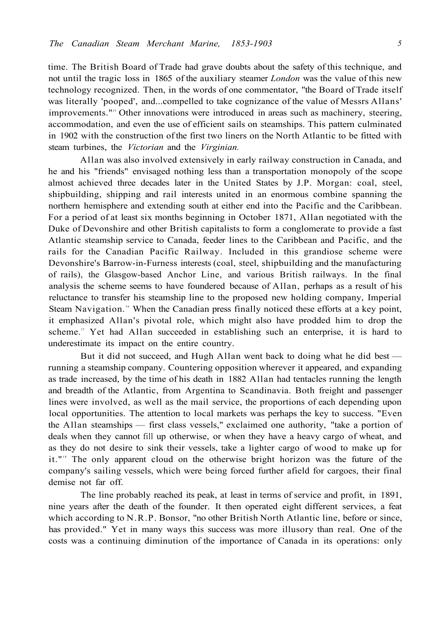time. The British Board of Trade had grave doubts about the safety of this technique, and not until the tragic loss in 1865 of the auxiliary steamer *London* was the value of this new technology recognized. Then, in the words of one commentator, "the Board of Trade itself was literally 'pooped', and...compelled to take cognizance of the value of Messrs Allans' improvements."<sup>15</sup> Other innovations were introduced in areas such as machinery, steering, accommodation, and even the use of efficient sails on steamships. This pattern culminated in 1902 with the construction of the first two liners on the North Atlantic to be fitted with steam turbines, the *Victorian* and the *Virginian.* 

Allan was also involved extensively in early railway construction in Canada, and he and his "friends" envisaged nothing less than a transportation monopoly of the scope almost achieved three decades later in the United States by J.P. Morgan: coal, steel, shipbuilding, shipping and rail interests united in an enormous combine spanning the northern hemisphere and extending south at either end into the Pacific and the Caribbean. For a period of at least six months beginning in October 1871, Allan negotiated with the Duke of Devonshire and other British capitalists to form a conglomerate to provide a fast Atlantic steamship service to Canada, feeder lines to the Caribbean and Pacific, and the rails for the Canadian Pacific Railway. Included in this grandiose scheme were Devonshire's Barrow-in-Furness interests (coal, steel, shipbuilding and the manufacturing of rails), the Glasgow-based Anchor Line, and various British railways. In the final analysis the scheme seems to have foundered because of Allan, perhaps as a result of his reluctance to transfer his steamship line to the proposed new holding company, Imperial Steam Navigation.<sup>16</sup> When the Canadian press finally noticed these efforts at a key point, it emphasized Allan's pivotal role, which might also have prodded him to drop the scheme.<sup>17</sup> Yet had Allan succeeded in establishing such an enterprise, it is hard to underestimate its impact on the entire country.

But it did not succeed, and Hugh Allan went back to doing what he did best running a steamship company. Countering opposition wherever it appeared, and expanding as trade increased, by the time of his death in 1882 Allan had tentacles running the length and breadth of the Atlantic, from Argentina to Scandinavia. Both freight and passenger lines were involved, as well as the mail service, the proportions of each depending upon local opportunities. The attention to local markets was perhaps the key to success. "Even the Allan steamships — first class vessels," exclaimed one authority, "take a portion of deals when they cannot fill up otherwise, or when they have a heavy cargo of wheat, and as they do not desire to sink their vessels, take a lighter cargo of wood to make up for it."<sup>18</sup> The only apparent cloud on the otherwise bright horizon was the future of the company's sailing vessels, which were being forced further afield for cargoes, their final demise not far off.

The line probably reached its peak, at least in terms of service and profit, in 1891, nine years after the death of the founder. It then operated eight different services, a feat which according to N.R.P. Bonsor, "no other British North Atlantic line, before or since, has provided." Yet in many ways this success was more illusory than real. One of the costs was a continuing diminution of the importance of Canada in its operations: only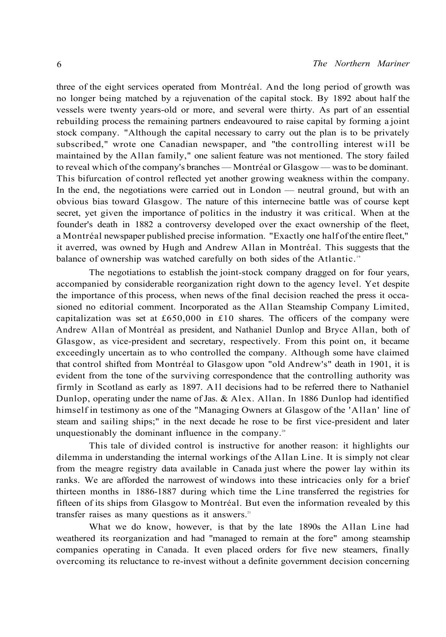three of the eight services operated from Montréal. And the long period of growth was no longer being matched by a rejuvenation of the capital stock. By 1892 about half the vessels were twenty years-old or more, and several were thirty. As part of an essential rebuilding process the remaining partners endeavoured to raise capital by forming a joint stock company. "Although the capital necessary to carry out the plan is to be privately subscribed," wrote one Canadian newspaper, and "the controlling interest will be maintained by the Allan family," one salient feature was not mentioned. The story failed to reveal which of the company's branches — Montréal or Glasgow — was to be dominant. This bifurcation of control reflected yet another growing weakness within the company. In the end, the negotiations were carried out in London — neutral ground, but with an obvious bias toward Glasgow. The nature of this internecine battle was of course kept secret, yet given the importance of politics in the industry it was critical. When at the founder's death in 1882 a controversy developed over the exact ownership of the fleet, a Montréal newspaper published precise information. "Exactly one half of the entire fleet," it averred, was owned by Hugh and Andrew Allan in Montréal. This suggests that the balance of ownership was watched carefully on both sides of the Atlantic.<sup>19</sup>

The negotiations to establish the joint-stock company dragged on for four years, accompanied by considerable reorganization right down to the agency level. Yet despite the importance of this process, when news of the final decision reached the press it occasioned no editorial comment. Incorporated as the Allan Steamship Company Limited, capitalization was set at £650,000 in £10 shares. The officers of the company were Andrew Allan of Montréal as president, and Nathaniel Dunlop and Bryce Allan, both of Glasgow, as vice-president and secretary, respectively. From this point on, it became exceedingly uncertain as to who controlled the company. Although some have claimed that control shifted from Montréal to Glasgow upon "old Andrew's" death in 1901, it is evident from the tone of the surviving correspondence that the controlling authority was firmly in Scotland as early as 1897. All decisions had to be referred there to Nathaniel Dunlop, operating under the name of Jas. & Alex. Allan. In 1886 Dunlop had identified himself in testimony as one of the "Managing Owners at Glasgow of the 'Allan' line of steam and sailing ships;" in the next decade he rose to be first vice-president and later unquestionably the dominant influence in the company.<sup>20</sup>

This tale of divided control is instructive for another reason: it highlights our dilemma in understanding the internal workings of the Allan Line. It is simply not clear from the meagre registry data available in Canada just where the power lay within its ranks. We are afforded the narrowest of windows into these intricacies only for a brief thirteen months in 1886-1887 during which time the Line transferred the registries for fifteen of its ships from Glasgow to Montréal. But even the information revealed by this transfer raises as many questions as it answers. $21$ 

What we do know, however, is that by the late 1890s the Allan Line had weathered its reorganization and had "managed to remain at the fore" among steamship companies operating in Canada. It even placed orders for five new steamers, finally overcoming its reluctance to re-invest without a definite government decision concerning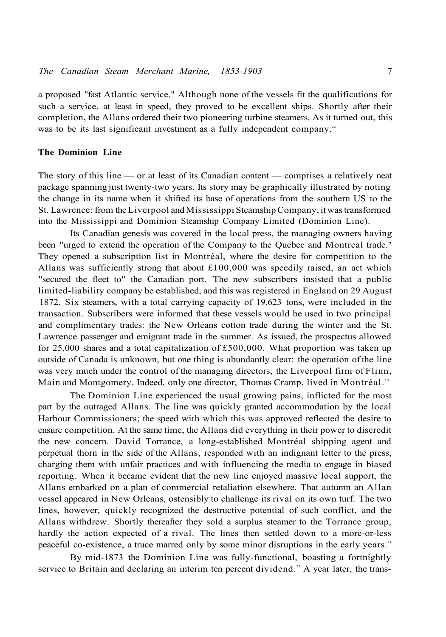a proposed "fast Atlantic service." Although none of the vessels fit the qualifications for such a service, at least in speed, they proved to be excellent ships. Shortly after their completion, the Allans ordered their two pioneering turbine steamers. As it turned out, this was to be its last significant investment as a fully independent company.<sup>22</sup>

#### **The Dominion Line**

The story of this line — or at least of its Canadian content — comprises a relatively neat package spanning just twenty-two years. Its story may be graphically illustrated by noting the change in its name when it shifted its base of operations from the southern US to the St. Lawrence: from the Liverpool and Mississippi Steamship Company, it was transformed into the Mississippi and Dominion Steamship Company Limited (Dominion Line).

Its Canadian genesis was covered in the local press, the managing owners having been "urged to extend the operation of the Company to the Quebec and Montreal trade." They opened a subscription list in Montréal, where the desire for competition to the Allans was sufficiently strong that about  $£100,000$  was speedily raised, an act which "secured the fleet to" the Canadian port. The new subscribers insisted that a public limited-liability company be established, and this was registered in England on 29 August 1872. Six steamers, with a total carrying capacity of 19,623 tons, were included in the transaction. Subscribers were informed that these vessels would be used in two principal and complimentary trades: the New Orleans cotton trade during the winter and the St. Lawrence passenger and emigrant trade in the summer. As issued, the prospectus allowed for 25,000 shares and a total capitalization of £500,000. What proportion was taken up outside of Canada is unknown, but one thing is abundantly clear: the operation of the line was very much under the control of the managing directors, the Liverpool firm of Flinn, Main and Montgomery. Indeed, only one director, Thomas Cramp, lived in Montréal.<sup>23</sup>

The Dominion Line experienced the usual growing pains, inflicted for the most part by the outraged Allans. The line was quickly granted accommodation by the local Harbour Commissioners; the speed with which this was approved reflected the desire to ensure competition. At the same time, the Allans did everything in their power to discredit the new concern. David Torrance, a long-established Montréal shipping agent and perpetual thorn in the side of the Allans, responded with an indignant letter to the press, charging them with unfair practices and with influencing the media to engage in biased reporting. When it became evident that the new line enjoyed massive local support, the Allans embarked on a plan of commercial retaliation elsewhere. That autumn an Allan vessel appeared in New Orleans, ostensibly to challenge its rival on its own turf. The two lines, however, quickly recognized the destructive potential of such conflict, and the Allans withdrew. Shortly thereafter they sold a surplus steamer to the Torrance group, hardly the action expected of a rival. The lines then settled down to a more-or-less peaceful co-existence, a truce marred only by some minor disruptions in the early years.<sup>24</sup>

By mid-1873 the Dominion Line was fully-functional, boasting a fortnightly service to Britain and declaring an interim ten percent dividend.<sup>25</sup> A year later, the trans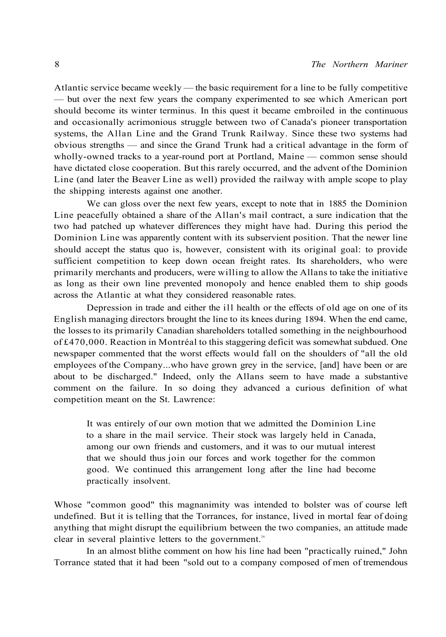Atlantic service became weekly — the basic requirement for a line to be fully competitive — but over the next few years the company experimented to see which American port should become its winter terminus. In this quest it became embroiled in the continuous and occasionally acrimonious struggle between two of Canada's pioneer transportation systems, the Allan Line and the Grand Trunk Railway. Since these two systems had obvious strengths — and since the Grand Trunk had a critical advantage in the form of wholly-owned tracks to a year-round port at Portland, Maine — common sense should have dictated close cooperation. But this rarely occurred, and the advent of the Dominion Line (and later the Beaver Line as well) provided the railway with ample scope to play the shipping interests against one another.

We can gloss over the next few years, except to note that in 1885 the Dominion Line peacefully obtained a share of the Allan's mail contract, a sure indication that the two had patched up whatever differences they might have had. During this period the Dominion Line was apparently content with its subservient position. That the newer line should accept the status quo is, however, consistent with its original goal: to provide sufficient competition to keep down ocean freight rates. Its shareholders, who were primarily merchants and producers, were willing to allow the Allans to take the initiative as long as their own line prevented monopoly and hence enabled them to ship goods across the Atlantic at what they considered reasonable rates.

Depression in trade and either the ill health or the effects of old age on one of its English managing directors brought the line to its knees during 1894. When the end came, the losses to its primarily Canadian shareholders totalled something in the neighbourhood of £470,000. Reaction in Montréal to this staggering deficit was somewhat subdued. One newspaper commented that the worst effects would fall on the shoulders of "all the old employees of the Company...who have grown grey in the service, [and] have been or are about to be discharged." Indeed, only the Allans seem to have made a substantive comment on the failure. In so doing they advanced a curious definition of what competition meant on the St. Lawrence:

It was entirely of our own motion that we admitted the Dominion Line to a share in the mail service. Their stock was largely held in Canada, among our own friends and customers, and it was to our mutual interest that we should thus join our forces and work together for the common good. We continued this arrangement long after the line had become practically insolvent.

Whose "common good" this magnanimity was intended to bolster was of course left undefined. But it is telling that the Torrances, for instance, lived in mortal fear of doing anything that might disrupt the equilibrium between the two companies, an attitude made clear in several plaintive letters to the government.<sup>26</sup>

In an almost blithe comment on how his line had been "practically ruined," John Torrance stated that it had been "sold out to a company composed of men of tremendous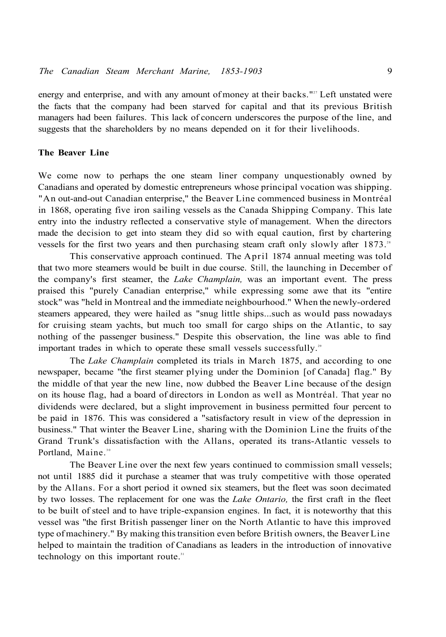energy and enterprise, and with any amount of money at their backs."<sup>22</sup> Left unstated were the facts that the company had been starved for capital and that its previous British managers had been failures. This lack of concern underscores the purpose of the line, and suggests that the shareholders by no means depended on it for their livelihoods.

#### **The Beaver Line**

We come now to perhaps the one steam liner company unquestionably owned by Canadians and operated by domestic entrepreneurs whose principal vocation was shipping. "An out-and-out Canadian enterprise," the Beaver Line commenced business in Montréal in 1868, operating five iron sailing vessels as the Canada Shipping Company. This late entry into the industry reflected a conservative style of management. When the directors made the decision to get into steam they did so with equal caution, first by chartering vessels for the first two years and then purchasing steam craft only slowly after  $1873$ .<sup>28</sup>

This conservative approach continued. The April 1874 annual meeting was told that two more steamers would be built in due course. Still, the launching in December of the company's first steamer, the *Lake Champlain,* was an important event. The press praised this "purely Canadian enterprise," while expressing some awe that its "entire stock" was "held in Montreal and the immediate neighbourhood." When the newly-ordered steamers appeared, they were hailed as "snug little ships...such as would pass nowadays for cruising steam yachts, but much too small for cargo ships on the Atlantic, to say nothing of the passenger business." Despite this observation, the line was able to find important trades in which to operate these small vessels successfully.<sup>29</sup>

The *Lake Champlain* completed its trials in March 1875, and according to one newspaper, became "the first steamer plying under the Dominion [of Canada] flag." By the middle of that year the new line, now dubbed the Beaver Line because of the design on its house flag, had a board of directors in London as well as Montréal. That year no dividends were declared, but a slight improvement in business permitted four percent to be paid in 1876. This was considered a "satisfactory result in view of the depression in business." That winter the Beaver Line, sharing with the Dominion Line the fruits of the Grand Trunk's dissatisfaction with the Allans, operated its trans-Atlantic vessels to Portland, Maine.<sup>30</sup>

The Beaver Line over the next few years continued to commission small vessels; not until 1885 did it purchase a steamer that was truly competitive with those operated by the Allans. For a short period it owned six steamers, but the fleet was soon decimated by two losses. The replacement for one was the *Lake Ontario,* the first craft in the fleet to be built of steel and to have triple-expansion engines. In fact, it is noteworthy that this vessel was "the first British passenger liner on the North Atlantic to have this improved type of machinery." By making this transition even before British owners, the Beaver Line helped to maintain the tradition of Canadians as leaders in the introduction of innovative technology on this important route.<sup>31</sup>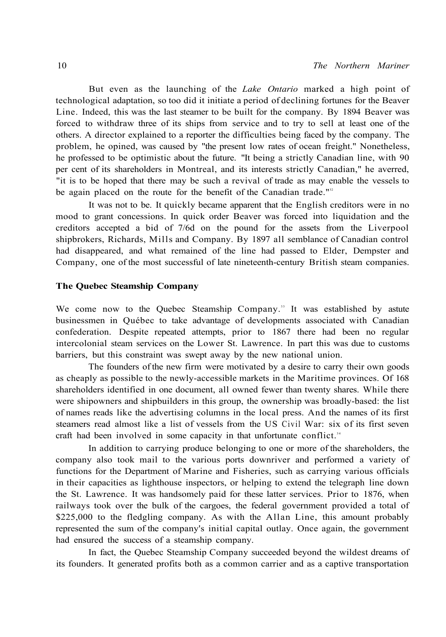But even as the launching of the *Lake Ontario* marked a high point of technological adaptation, so too did it initiate a period of declining fortunes for the Beaver Line. Indeed, this was the last steamer to be built for the company. By 1894 Beaver was forced to withdraw three of its ships from service and to try to sell at least one of the others. A director explained to a reporter the difficulties being faced by the company. The problem, he opined, was caused by "the present low rates of ocean freight." Nonetheless, he professed to be optimistic about the future. "It being a strictly Canadian line, with 90 per cent of its shareholders in Montreal, and its interests strictly Canadian," he averred, "it is to be hoped that there may be such a revival of trade as may enable the vessels to be again placed on the route for the benefit of the Canadian trade."<sup>32</sup>

It was not to be. It quickly became apparent that the English creditors were in no mood to grant concessions. In quick order Beaver was forced into liquidation and the creditors accepted a bid of 7/6d on the pound for the assets from the Liverpool shipbrokers, Richards, Mills and Company. By 1897 all semblance of Canadian control had disappeared, and what remained of the line had passed to Elder, Dempster and Company, one of the most successful of late nineteenth-century British steam companies.

#### **The Quebec Steamship Company**

We come now to the Quebec Steamship Company.<sup>33</sup> It was established by astute businessmen in Québec to take advantage of developments associated with Canadian confederation. Despite repeated attempts, prior to 1867 there had been no regular intercolonial steam services on the Lower St. Lawrence. In part this was due to customs barriers, but this constraint was swept away by the new national union.

The founders of the new firm were motivated by a desire to carry their own goods as cheaply as possible to the newly-accessible markets in the Maritime provinces. Of 168 shareholders identified in one document, all owned fewer than twenty shares. While there were shipowners and shipbuilders in this group, the ownership was broadly-based: the list of names reads like the advertising columns in the local press. And the names of its first steamers read almost like a list of vessels from the US Civil War: six of its first seven craft had been involved in some capacity in that unfortunate conflict.<sup>34</sup>

In addition to carrying produce belonging to one or more of the shareholders, the company also took mail to the various ports downriver and performed a variety of functions for the Department of Marine and Fisheries, such as carrying various officials in their capacities as lighthouse inspectors, or helping to extend the telegraph line down the St. Lawrence. It was handsomely paid for these latter services. Prior to 1876, when railways took over the bulk of the cargoes, the federal government provided a total of \$225,000 to the fledgling company. As with the Allan Line, this amount probably represented the sum of the company's initial capital outlay. Once again, the government had ensured the success of a steamship company.

In fact, the Quebec Steamship Company succeeded beyond the wildest dreams of its founders. It generated profits both as a common carrier and as a captive transportation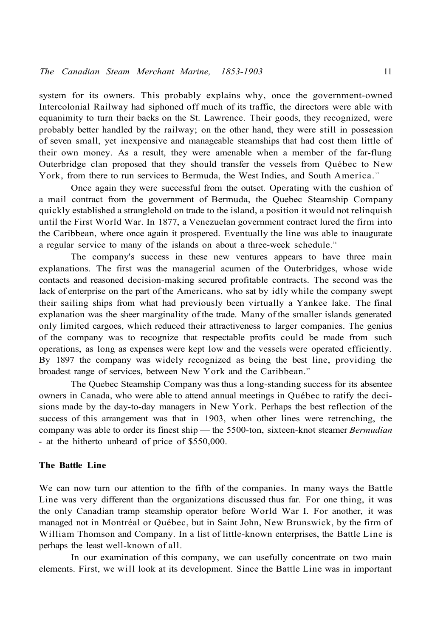system for its owners. This probably explains why, once the government-owned Intercolonial Railway had siphoned off much of its traffic, the directors were able with equanimity to turn their backs on the St. Lawrence. Their goods, they recognized, were probably better handled by the railway; on the other hand, they were still in possession of seven small, yet inexpensive and manageable steamships that had cost them little of their own money. As a result, they were amenable when a member of the far-flung Outerbridge clan proposed that they should transfer the vessels from Québec to New York, from there to run services to Bermuda, the West Indies, and South America.<sup>35</sup>

Once again they were successful from the outset. Operating with the cushion of a mail contract from the government of Bermuda, the Quebec Steamship Company quickly established a stranglehold on trade to the island, a position it would not relinquish until the First World War. In 1877, a Venezuelan government contract lured the firm into the Caribbean, where once again it prospered. Eventually the line was able to inaugurate a regular service to many of the islands on about a three-week schedule.<sup>36</sup>

The company's success in these new ventures appears to have three main explanations. The first was the managerial acumen of the Outerbridges, whose wide contacts and reasoned decision-making secured profitable contracts. The second was the lack of enterprise on the part of the Americans, who sat by idly while the company swept their sailing ships from what had previously been virtually a Yankee lake. The final explanation was the sheer marginality of the trade. Many of the smaller islands generated only limited cargoes, which reduced their attractiveness to larger companies. The genius of the company was to recognize that respectable profits could be made from such operations, as long as expenses were kept low and the vessels were operated efficiently. By 1897 the company was widely recognized as being the best line, providing the broadest range of services, between New York and the Caribbean.<sup>37</sup>

The Quebec Steamship Company was thus a long-standing success for its absentee owners in Canada, who were able to attend annual meetings in Québec to ratify the decisions made by the day-to-day managers in New York. Perhaps the best reflection of the success of this arrangement was that in 1903, when other lines were retrenching, the company was able to order its finest ship — the 5500-ton, sixteen-knot steamer *Bermudian*  - at the hitherto unheard of price of \$550,000.

#### **The Battle Line**

We can now turn our attention to the fifth of the companies. In many ways the Battle Line was very different than the organizations discussed thus far. For one thing, it was the only Canadian tramp steamship operator before World War I. For another, it was managed not in Montréal or Québec, but in Saint John, New Brunswick, by the firm of William Thomson and Company. In a list of little-known enterprises, the Battle Line is perhaps the least well-known of all.

In our examination of this company, we can usefully concentrate on two main elements. First, we will look at its development. Since the Battle Line was in important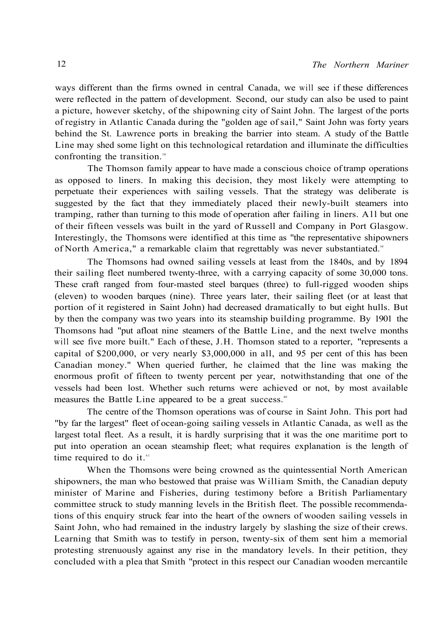ways different than the firms owned in central Canada, we will see if these differences were reflected in the pattern of development. Second, our study can also be used to paint a picture, however sketchy, of the shipowning city of Saint John. The largest of the ports of registry in Atlantic Canada during the "golden age of sail," Saint John was forty years behind the St. Lawrence ports in breaking the barrier into steam. A study of the Battle Line may shed some light on this technological retardation and illuminate the difficulties confronting the transition.<sup>38</sup>

The Thomson family appear to have made a conscious choice of tramp operations as opposed to liners. In making this decision, they most likely were attempting to perpetuate their experiences with sailing vessels. That the strategy was deliberate is suggested by the fact that they immediately placed their newly-built steamers into tramping, rather than turning to this mode of operation after failing in liners. All but one of their fifteen vessels was built in the yard of Russell and Company in Port Glasgow. Interestingly, the Thomsons were identified at this time as "the representative shipowners of North America," a remarkable claim that regrettably was never substantiated."

The Thomsons had owned sailing vessels at least from the 1840s, and by 1894 their sailing fleet numbered twenty-three, with a carrying capacity of some 30,000 tons. These craft ranged from four-masted steel barques (three) to full-rigged wooden ships (eleven) to wooden barques (nine). Three years later, their sailing fleet (or at least that portion of it registered in Saint John) had decreased dramatically to but eight hulls. But by then the company was two years into its steamship building programme. By 1901 the Thomsons had "put afloat nine steamers of the Battle Line, and the next twelve months will see five more built." Each of these, J.H. Thomson stated to a reporter, "represents a capital of \$200,000, or very nearly \$3,000,000 in all, and 95 per cent of this has been Canadian money." When queried further, he claimed that the line was making the enormous profit of fifteen to twenty percent per year, notwithstanding that one of the vessels had been lost. Whether such returns were achieved or not, by most available measures the Battle Line appeared to be a great success.<sup>40</sup>

The centre of the Thomson operations was of course in Saint John. This port had "by far the largest" fleet of ocean-going sailing vessels in Atlantic Canada, as well as the largest total fleet. As a result, it is hardly surprising that it was the one maritime port to put into operation an ocean steamship fleet; what requires explanation is the length of time required to do it. $41$ 

When the Thomsons were being crowned as the quintessential North American shipowners, the man who bestowed that praise was William Smith, the Canadian deputy minister of Marine and Fisheries, during testimony before a British Parliamentary committee struck to study manning levels in the British fleet. The possible recommendations of this enquiry struck fear into the heart of the owners of wooden sailing vessels in Saint John, who had remained in the industry largely by slashing the size of their crews. Learning that Smith was to testify in person, twenty-six of them sent him a memorial protesting strenuously against any rise in the mandatory levels. In their petition, they concluded with a plea that Smith "protect in this respect our Canadian wooden mercantile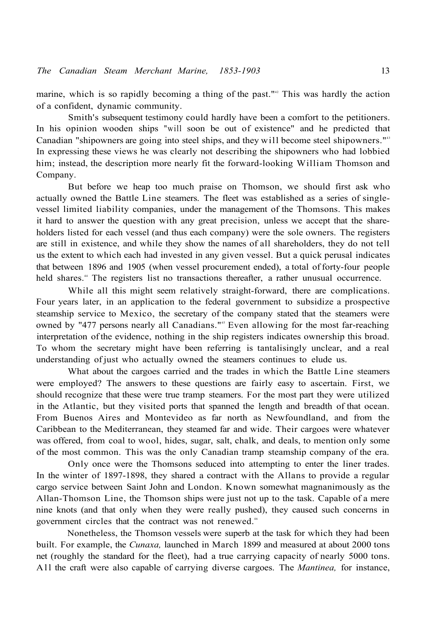marine, which is so rapidly becoming a thing of the past."<sup>2</sup> This was hardly the action of a confident, dynamic community.

Smith's subsequent testimony could hardly have been a comfort to the petitioners. In his opinion wooden ships "will soon be out of existence" and he predicted that Canadian "shipowners are going into steel ships, and they will become steel shipowners."<sup>43</sup> In expressing these views he was clearly not describing the shipowners who had lobbied him; instead, the description more nearly fit the forward-looking William Thomson and Company.

But before we heap too much praise on Thomson, we should first ask who actually owned the Battle Line steamers. The fleet was established as a series of singlevessel limited liability companies, under the management of the Thomsons. This makes it hard to answer the question with any great precision, unless we accept that the shareholders listed for each vessel (and thus each company) were the sole owners. The registers are still in existence, and while they show the names of all shareholders, they do not tell us the extent to which each had invested in any given vessel. But a quick perusal indicates that between 1896 and 1905 (when vessel procurement ended), a total of forty-four people held shares.<sup>44</sup> The registers list no transactions thereafter, a rather unusual occurrence.

While all this might seem relatively straight-forward, there are complications. Four years later, in an application to the federal government to subsidize a prospective steamship service to Mexico, the secretary of the company stated that the steamers were owned by "477 persons nearly all Canadians."<sup>45</sup> Even allowing for the most far-reaching interpretation of the evidence, nothing in the ship registers indicates ownership this broad. To whom the secretary might have been referring is tantalisingly unclear, and a real understanding of just who actually owned the steamers continues to elude us.

What about the cargoes carried and the trades in which the Battle Line steamers were employed? The answers to these questions are fairly easy to ascertain. First, we should recognize that these were true tramp steamers. For the most part they were utilized in the Atlantic, but they visited ports that spanned the length and breadth of that ocean. From Buenos Aires and Montevideo as far north as Newfoundland, and from the Caribbean to the Mediterranean, they steamed far and wide. Their cargoes were whatever was offered, from coal to wool, hides, sugar, salt, chalk, and deals, to mention only some of the most common. This was the only Canadian tramp steamship company of the era.

Only once were the Thomsons seduced into attempting to enter the liner trades. In the winter of 1897-1898, they shared a contract with the Allans to provide a regular cargo service between Saint John and London. Known somewhat magnanimously as the Allan-Thomson Line, the Thomson ships were just not up to the task. Capable of a mere nine knots (and that only when they were really pushed), they caused such concerns in government circles that the contract was not renewed.<sup>46</sup>

Nonetheless, the Thomson vessels were superb at the task for which they had been built. For example, the *Cunaxa,* launched in March 1899 and measured at about 2000 tons net (roughly the standard for the fleet), had a true carrying capacity of nearly 5000 tons. A ll the craft were also capable of carrying diverse cargoes. The *Mantinea,* for instance,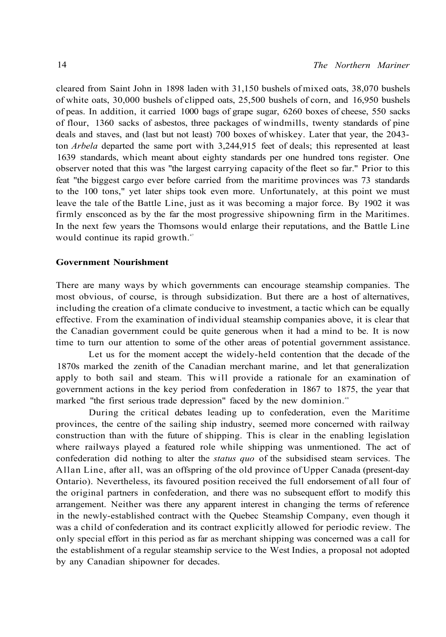cleared from Saint John in 1898 laden with 31,150 bushels of mixed oats, 38,070 bushels of white oats, 30,000 bushels of clipped oats, 25,500 bushels of corn, and 16,950 bushels of peas. In addition, it carried 1000 bags of grape sugar, 6260 boxes of cheese, 550 sacks of flour, 1360 sacks of asbestos, three packages of windmills, twenty standards of pine deals and staves, and (last but not least) 700 boxes of whiskey. Later that year, the 2043 ton *Arbela* departed the same port with 3,244,915 feet of deals; this represented at least 1639 standards, which meant about eighty standards per one hundred tons register. One observer noted that this was "the largest carrying capacity of the fleet so far." Prior to this feat "the biggest cargo ever before carried from the maritime provinces was 73 standards to the 100 tons," yet later ships took even more. Unfortunately, at this point we must leave the tale of the Battle Line, just as it was becoming a major force. By 1902 it was firmly ensconced as by the far the most progressive shipowning firm in the Maritimes. In the next few years the Thomsons would enlarge their reputations, and the Battle Line would continue its rapid growth.<sup>47</sup>

#### **Government Nourishment**

There are many ways by which governments can encourage steamship companies. The most obvious, of course, is through subsidization. But there are a host of alternatives, including the creation of a climate conducive to investment, a tactic which can be equally effective. From the examination of individual steamship companies above, it is clear that the Canadian government could be quite generous when it had a mind to be. It is now time to turn our attention to some of the other areas of potential government assistance.

Let us for the moment accept the widely-held contention that the decade of the 1870s marked the zenith of the Canadian merchant marine, and let that generalization apply to both sail and steam. This will provide a rationale for an examination of government actions in the key period from confederation in 1867 to 1875, the year that marked "the first serious trade depression" faced by the new dominion.<sup>48</sup>

During the critical debates leading up to confederation, even the Maritime provinces, the centre of the sailing ship industry, seemed more concerned with railway construction than with the future of shipping. This is clear in the enabling legislation where railways played a featured role while shipping was unmentioned. The act of confederation did nothing to alter the *status quo* of the subsidised steam services. The Allan Line, after all, was an offspring of the old province of Upper Canada (present-day Ontario). Nevertheless, its favoured position received the full endorsement of all four of the original partners in confederation, and there was no subsequent effort to modify this arrangement. Neither was there any apparent interest in changing the terms of reference in the newly-established contract with the Quebec Steamship Company, even though it was a child of confederation and its contract explicitly allowed for periodic review. The only special effort in this period as far as merchant shipping was concerned was a call for the establishment of a regular steamship service to the West Indies, a proposal not adopted by any Canadian shipowner for decades.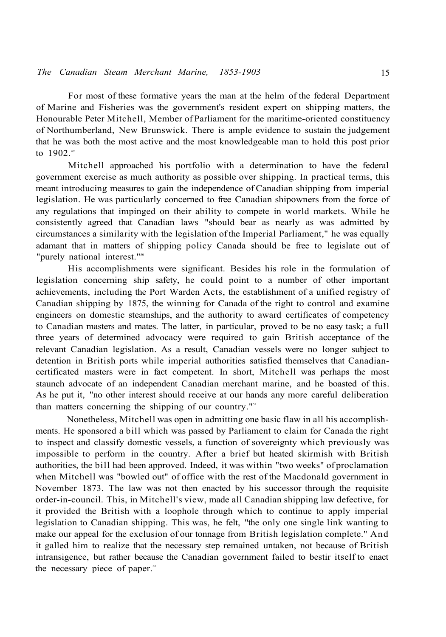For most of these formative years the man at the helm of the federal Department of Marine and Fisheries was the government's resident expert on shipping matters, the Honourable Peter Mitchell, Member of Parliament for the maritime-oriented constituency of Northumberland, New Brunswick. There is ample evidence to sustain the judgement that he was both the most active and the most knowledgeable man to hold this post prior to  $1902.^{49}$ 

Mitchell approached his portfolio with a determination to have the federal government exercise as much authority as possible over shipping. In practical terms, this meant introducing measures to gain the independence of Canadian shipping from imperial legislation. He was particularly concerned to free Canadian shipowners from the force of any regulations that impinged on their ability to compete in world markets. While he consistently agreed that Canadian laws "should bear as nearly as was admitted by circumstances a similarity with the legislation of the Imperial Parliament," he was equally adamant that in matters of shipping policy Canada should be free to legislate out of "purely national interest."<sup>50</sup>

His accomplishments were significant. Besides his role in the formulation of legislation concerning ship safety, he could point to a number of other important achievements, including the Port Warden Acts, the establishment of a unified registry of Canadian shipping by 1875, the winning for Canada of the right to control and examine engineers on domestic steamships, and the authority to award certificates of competency to Canadian masters and mates. The latter, in particular, proved to be no easy task; a full three years of determined advocacy were required to gain British acceptance of the relevant Canadian legislation. As a result, Canadian vessels were no longer subject to detention in British ports while imperial authorities satisfied themselves that Canadiancertificated masters were in fact competent. In short, Mitchell was perhaps the most staunch advocate of an independent Canadian merchant marine, and he boasted of this. As he put it, "no other interest should receive at our hands any more careful deliberation than matters concerning the shipping of our country."<sup>51</sup>

Nonetheless, Mitchell was open in admitting one basic flaw in all his accomplishments. He sponsored a bill which was passed by Parliament to claim for Canada the right to inspect and classify domestic vessels, a function of sovereignty which previously was impossible to perform in the country. After a brief but heated skirmish with British authorities, the bill had been approved. Indeed, it was within "two weeks" of proclamation when Mitchell was "bowled out" of office with the rest of the Macdonald government in November 1873. The law was not then enacted by his successor through the requisite order-in-council. This, in Mitchell's view, made all Canadian shipping law defective, for it provided the British with a loophole through which to continue to apply imperial legislation to Canadian shipping. This was, he felt, "the only one single link wanting to make our appeal for the exclusion of our tonnage from British legislation complete." And it galled him to realize that the necessary step remained untaken, not because of British intransigence, but rather because the Canadian government failed to bestir itself to enact the necessary piece of paper.<sup>52</sup>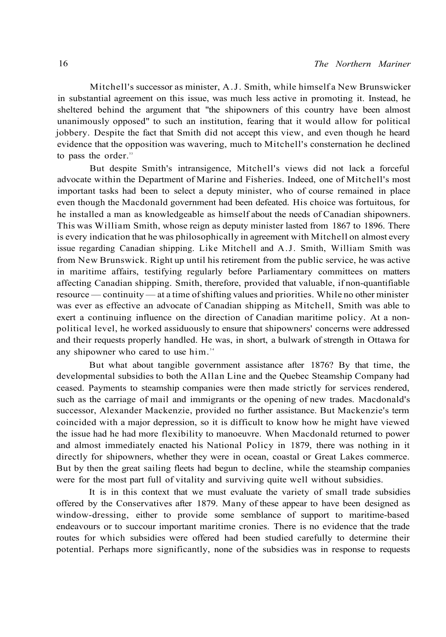Mitchell's successor as minister, A.J. Smith, while himself a New Brunswicker in substantial agreement on this issue, was much less active in promoting it. Instead, he sheltered behind the argument that "the shipowners of this country have been almost unanimously opposed" to such an institution, fearing that it would allow for political jobbery. Despite the fact that Smith did not accept this view, and even though he heard evidence that the opposition was wavering, much to Mitchell's consternation he declined to pass the order.<sup>53</sup>

But despite Smith's intransigence, Mitchell's views did not lack a forceful advocate within the Department of Marine and Fisheries. Indeed, one of Mitchell's most important tasks had been to select a deputy minister, who of course remained in place even though the Macdonald government had been defeated. His choice was fortuitous, for he installed a man as knowledgeable as himself about the needs of Canadian shipowners. This was William Smith, whose reign as deputy minister lasted from 1867 to 1896. There is every indication that he was philosophically in agreement with Mitchell on almost every issue regarding Canadian shipping. Like Mitchell and A.J. Smith, William Smith was from New Brunswick. Right up until his retirement from the public service, he was active in maritime affairs, testifying regularly before Parliamentary committees on matters affecting Canadian shipping. Smith, therefore, provided that valuable, if non-quantifiable resource — continuity — at a time of shifting values and priorities. While no other minister was ever as effective an advocate of Canadian shipping as Mitchell, Smith was able to exert a continuing influence on the direction of Canadian maritime policy. At a nonpolitical level, he worked assiduously to ensure that shipowners' concerns were addressed and their requests properly handled. He was, in short, a bulwark of strength in Ottawa for any shipowner who cared to use him.<sup>54</sup>

But what about tangible government assistance after 1876? By that time, the developmental subsidies to both the Allan Line and the Quebec Steamship Company had ceased. Payments to steamship companies were then made strictly for services rendered, such as the carriage of mail and immigrants or the opening of new trades. Macdonald's successor, Alexander Mackenzie, provided no further assistance. But Mackenzie's term coincided with a major depression, so it is difficult to know how he might have viewed the issue had he had more flexibility to manoeuvre. When Macdonald returned to power and almost immediately enacted his National Policy in 1879, there was nothing in it directly for shipowners, whether they were in ocean, coastal or Great Lakes commerce. But by then the great sailing fleets had begun to decline, while the steamship companies were for the most part full of vitality and surviving quite well without subsidies.

It is in this context that we must evaluate the variety of small trade subsidies offered by the Conservatives after 1879. Many of these appear to have been designed as window-dressing, either to provide some semblance of support to maritime-based endeavours or to succour important maritime cronies. There is no evidence that the trade routes for which subsidies were offered had been studied carefully to determine their potential. Perhaps more significantly, none of the subsidies was in response to requests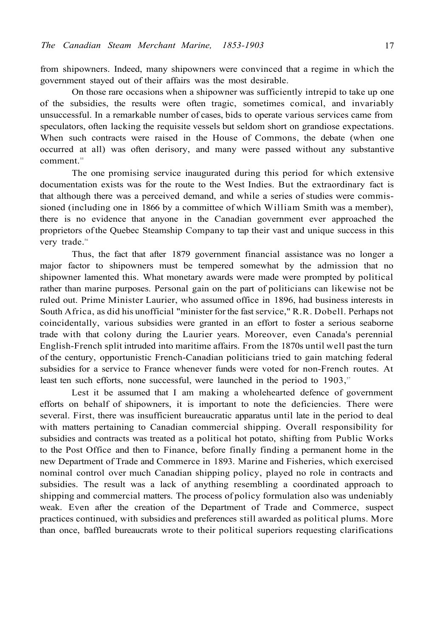from shipowners. Indeed, many shipowners were convinced that a regime in which the government stayed out of their affairs was the most desirable.

On those rare occasions when a shipowner was sufficiently intrepid to take up one of the subsidies, the results were often tragic, sometimes comical, and invariably unsuccessful. In a remarkable number of cases, bids to operate various services came from speculators, often lacking the requisite vessels but seldom short on grandiose expectations. When such contracts were raised in the House of Commons, the debate (when one occurred at all) was often derisory, and many were passed without any substantive comment.<sup>55</sup>

The one promising service inaugurated during this period for which extensive documentation exists was for the route to the West Indies. But the extraordinary fact is that although there was a perceived demand, and while a series of studies were commissioned (including one in 1866 by a committee of which William Smith was a member), there is no evidence that anyone in the Canadian government ever approached the proprietors of the Quebec Steamship Company to tap their vast and unique success in this very trade.<sup>56</sup>

Thus, the fact that after 1879 government financial assistance was no longer a major factor to shipowners must be tempered somewhat by the admission that no shipowner lamented this. What monetary awards were made were prompted by political rather than marine purposes. Personal gain on the part of politicians can likewise not be ruled out. Prime Minister Laurier, who assumed office in 1896, had business interests in South Africa, as did his unofficial "minister for the fast service," R.R. Dobell. Perhaps not coincidentally, various subsidies were granted in an effort to foster a serious seaborne trade with that colony during the Laurier years. Moreover, even Canada's perennial English-French split intruded into maritime affairs. From the 1870s until well past the turn of the century, opportunistic French-Canadian politicians tried to gain matching federal subsidies for a service to France whenever funds were voted for non-French routes. At least ten such efforts, none successful, were launched in the period to  $1903$ ,<sup>57</sup>

Lest it be assumed that I am making a wholehearted defence of government efforts on behalf of shipowners, it is important to note the deficiencies. There were several. First, there was insufficient bureaucratic apparatus until late in the period to deal with matters pertaining to Canadian commercial shipping. Overall responsibility for subsidies and contracts was treated as a political hot potato, shifting from Public Works to the Post Office and then to Finance, before finally finding a permanent home in the new Department of Trade and Commerce in 1893. Marine and Fisheries, which exercised nominal control over much Canadian shipping policy, played no role in contracts and subsidies. The result was a lack of anything resembling a coordinated approach to shipping and commercial matters. The process of policy formulation also was undeniably weak. Even after the creation of the Department of Trade and Commerce, suspect practices continued, with subsidies and preferences still awarded as political plums. More than once, baffled bureaucrats wrote to their political superiors requesting clarifications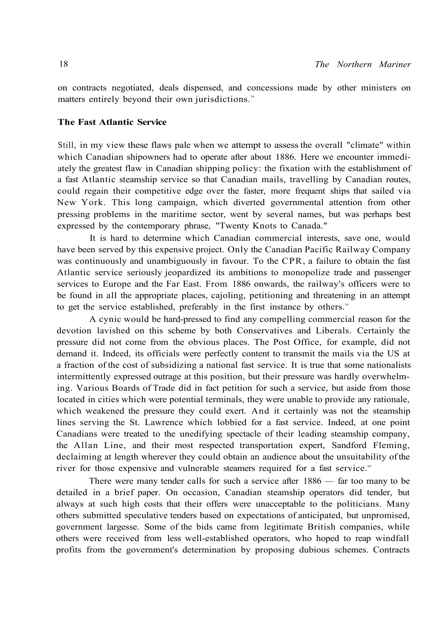on contracts negotiated, deals dispensed, and concessions made by other ministers on matters entirely beyond their own jurisdictions.<sup>58</sup>

## **The Fast Atlantic Service**

Still, in my view these flaws pale when we attempt to assess the overall "climate" within which Canadian shipowners had to operate after about 1886. Here we encounter immediately the greatest flaw in Canadian shipping policy: the fixation with the establishment of a fast Atlantic steamship service so that Canadian mails, travelling by Canadian routes, could regain their competitive edge over the faster, more frequent ships that sailed via New York. This long campaign, which diverted governmental attention from other pressing problems in the maritime sector, went by several names, but was perhaps best expressed by the contemporary phrase, "Twenty Knots to Canada."

It is hard to determine which Canadian commercial interests, save one, would have been served by this expensive project. Only the Canadian Pacific Railway Company was continuously and unambiguously in favour. To the CPR, a failure to obtain the fast Atlantic service seriously jeopardized its ambitions to monopolize trade and passenger services to Europe and the Far East. From 1886 onwards, the railway's officers were to be found in all the appropriate places, cajoling, petitioning and threatening in an attempt to get the service established, preferably in the first instance by others.<sup>59</sup>

A cynic would be hard-pressed to find any compelling commercial reason for the devotion lavished on this scheme by both Conservatives and Liberals. Certainly the pressure did not come from the obvious places. The Post Office, for example, did not demand it. Indeed, its officials were perfectly content to transmit the mails via the US at a fraction of the cost of subsidizing a national fast service. It is true that some nationalists intermittently expressed outrage at this position, but their pressure was hardly overwhelming. Various Boards of Trade did in fact petition for such a service, but aside from those located in cities which were potential terminals, they were unable to provide any rationale, which weakened the pressure they could exert. And it certainly was not the steamship lines serving the St. Lawrence which lobbied for a fast service. Indeed, at one point Canadians were treated to the unedifying spectacle of their leading steamship company, the Allan Line, and their most respected transportation expert, Sandford Fleming, declaiming at length wherever they could obtain an audience about the unsuitability of the river for those expensive and vulnerable steamers required for a fast service.<sup>60</sup>

There were many tender calls for such a service after 1886 — far too many to be detailed in a brief paper. On occasion, Canadian steamship operators did tender, but always at such high costs that their offers were unacceptable to the politicians. Many others submitted speculative tenders based on expectations of anticipated, but unpromised, government largesse. Some of the bids came from legitimate British companies, while others were received from less well-established operators, who hoped to reap windfall profits from the government's determination by proposing dubious schemes. Contracts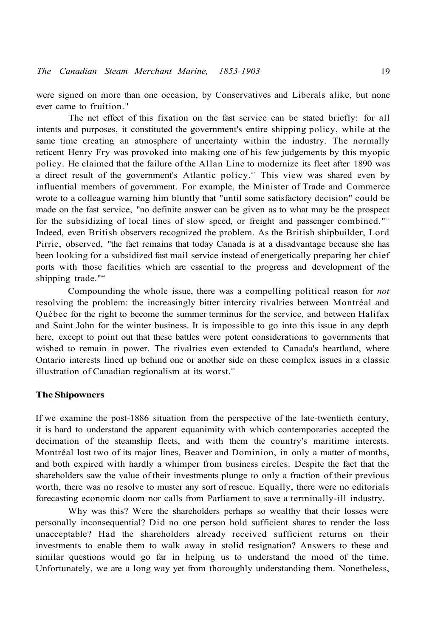were signed on more than one occasion, by Conservatives and Liberals alike, but none ever came to fruition."

The net effect of this fixation on the fast service can be stated briefly: for all intents and purposes, it constituted the government's entire shipping policy, while at the same time creating an atmosphere of uncertainty within the industry. The normally reticent Henry Fry was provoked into making one of his few judgements by this myopic policy. He claimed that the failure of the Allan Line to modernize its fleet after 1890 was a direct result of the government's Atlantic policy.<sup>42</sup> This view was shared even by influential members of government. For example, the Minister of Trade and Commerce wrote to a colleague warning him bluntly that "until some satisfactory decision" could be made on the fast service, "no definite answer can be given as to what may be the prospect for the subsidizing of local lines of slow speed, or freight and passenger combined."<sup>63</sup> Indeed, even British observers recognized the problem. As the British shipbuilder, Lord Pirrie, observed, "the fact remains that today Canada is at a disadvantage because she has been looking for a subsidized fast mail service instead of energetically preparing her chief ports with those facilities which are essential to the progress and development of the shipping trade."<sup>64</sup>

Compounding the whole issue, there was a compelling political reason for *not*  resolving the problem: the increasingly bitter intercity rivalries between Montréal and Québec for the right to become the summer terminus for the service, and between Halifax and Saint John for the winter business. It is impossible to go into this issue in any depth here, except to point out that these battles were potent considerations to governments that wished to remain in power. The rivalries even extended to Canada's heartland, where Ontario interests lined up behind one or another side on these complex issues in a classic illustration of Canadian regionalism at its worst.<sup>65</sup>

## **The Shipowners**

If we examine the post-1886 situation from the perspective of the late-twentieth century, it is hard to understand the apparent equanimity with which contemporaries accepted the decimation of the steamship fleets, and with them the country's maritime interests. Montréal lost two of its major lines, Beaver and Dominion, in only a matter of months, and both expired with hardly a whimper from business circles. Despite the fact that the shareholders saw the value of their investments plunge to only a fraction of their previous worth, there was no resolve to muster any sort of rescue. Equally, there were no editorials forecasting economic doom nor calls from Parliament to save a terminally-ill industry.

Why was this? Were the shareholders perhaps so wealthy that their losses were personally inconsequential? Did no one person hold sufficient shares to render the loss unacceptable? Had the shareholders already received sufficient returns on their investments to enable them to walk away in stolid resignation? Answers to these and similar questions would go far in helping us to understand the mood of the time. Unfortunately, we are a long way yet from thoroughly understanding them. Nonetheless,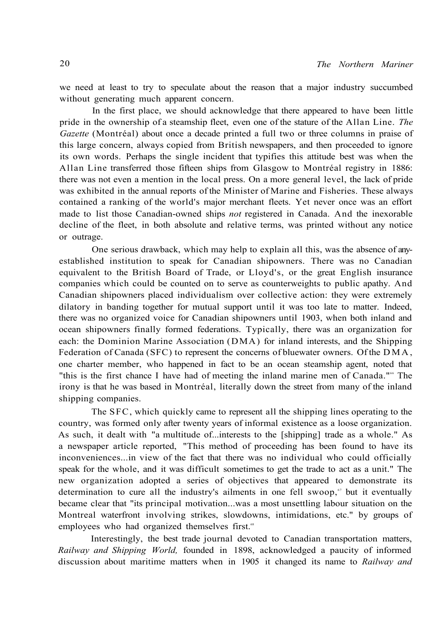we need at least to try to speculate about the reason that a major industry succumbed without generating much apparent concern.

In the first place, we should acknowledge that there appeared to have been little pride in the ownership of a steamship fleet, even one of the stature of the Allan Line. *The Gazette* (Montréal) about once a decade printed a full two or three columns in praise of this large concern, always copied from British newspapers, and then proceeded to ignore its own words. Perhaps the single incident that typifies this attitude best was when the Allan Line transferred those fifteen ships from Glasgow to Montréal registry in 1886: there was not even a mention in the local press. On a more general level, the lack of pride was exhibited in the annual reports of the Minister of Marine and Fisheries. These always contained a ranking of the world's major merchant fleets. Yet never once was an effort made to list those Canadian-owned ships *not* registered in Canada. And the inexorable decline of the fleet, in both absolute and relative terms, was printed without any notice or outrage.

One serious drawback, which may help to explain all this, was the absence of anyestablished institution to speak for Canadian shipowners. There was no Canadian equivalent to the British Board of Trade, or Lloyd's, or the great English insurance companies which could be counted on to serve as counterweights to public apathy. And Canadian shipowners placed individualism over collective action: they were extremely dilatory in banding together for mutual support until it was too late to matter. Indeed, there was no organized voice for Canadian shipowners until 1903, when both inland and ocean shipowners finally formed federations. Typically, there was an organization for each: the Dominion Marine Association (DMA) for inland interests, and the Shipping Federation of Canada (SFC) to represent the concerns of bluewater owners. Of the DMA , one charter member, who happened in fact to be an ocean steamship agent, noted that "this is the first chance I have had of meeting the inland marine men of Canada."<sup>66</sup> The irony is that he was based in Montréal, literally down the street from many of the inland shipping companies.

The SFC, which quickly came to represent all the shipping lines operating to the country, was formed only after twenty years of informal existence as a loose organization. As such, it dealt with "a multitude of...interests to the [shipping] trade as a whole." As a newspaper article reported, "This method of proceeding has been found to have its inconveniences...in view of the fact that there was no individual who could officially speak for the whole, and it was difficult sometimes to get the trade to act as a unit." The new organization adopted a series of objectives that appeared to demonstrate its determination to cure all the industry's ailments in one fell swoop,<sup>\*</sup> but it eventually became clear that "its principal motivation...was a most unsettling labour situation on the Montreal waterfront involving strikes, slowdowns, intimidations, etc." by groups of employees who had organized themselves first.<sup>68</sup>

Interestingly, the best trade journal devoted to Canadian transportation matters, *Railway and Shipping World,* founded in 1898, acknowledged a paucity of informed discussion about maritime matters when in 1905 it changed its name to *Railway and*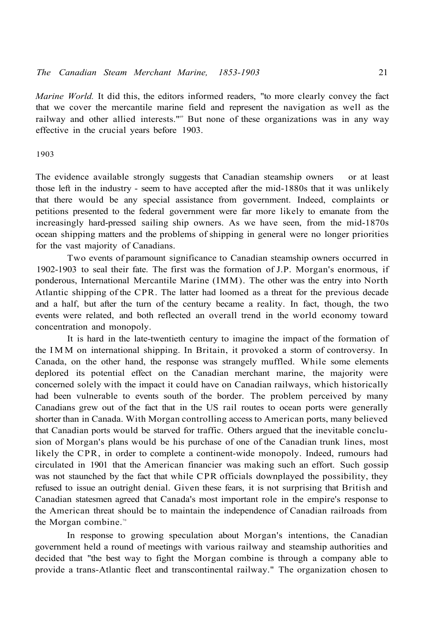*Marine World.* It did this, the editors informed readers, "to more clearly convey the fact that we cover the mercantile marine field and represent the navigation as well as the railway and other allied interests."<sup>®</sup> But none of these organizations was in any way effective in the crucial years before 1903.

#### 1903

The evidence available strongly suggests that Canadian steamship owners or at least those left in the industry - seem to have accepted after the mid-1880s that it was unlikely that there would be any special assistance from government. Indeed, complaints or petitions presented to the federal government were far more likely to emanate from the increasingly hard-pressed sailing ship owners. As we have seen, from the mid-1870s ocean shipping matters and the problems of shipping in general were no longer priorities for the vast majority of Canadians.

Two events of paramount significance to Canadian steamship owners occurred in 1902-1903 to seal their fate. The first was the formation of J.P. Morgan's enormous, if ponderous, International Mercantile Marine (IMM). The other was the entry into North Atlantic shipping of the CPR. The latter had loomed as a threat for the previous decade and a half, but after the turn of the century became a reality. In fact, though, the two events were related, and both reflected an overall trend in the world economy toward concentration and monopoly.

It is hard in the late-twentieth century to imagine the impact of the formation of the IM M on international shipping. In Britain, it provoked a storm of controversy. In Canada, on the other hand, the response was strangely muffled. While some elements deplored its potential effect on the Canadian merchant marine, the majority were concerned solely with the impact it could have on Canadian railways, which historically had been vulnerable to events south of the border. The problem perceived by many Canadians grew out of the fact that in the US rail routes to ocean ports were generally shorter than in Canada. With Morgan controlling access to American ports, many believed that Canadian ports would be starved for traffic. Others argued that the inevitable conclusion of Morgan's plans would be his purchase of one of the Canadian trunk lines, most likely the CPR, in order to complete a continent-wide monopoly. Indeed, rumours had circulated in 1901 that the American financier was making such an effort. Such gossip was not staunched by the fact that while CPR officials downplayed the possibility, they refused to issue an outright denial. Given these fears, it is not surprising that British and Canadian statesmen agreed that Canada's most important role in the empire's response to the American threat should be to maintain the independence of Canadian railroads from the Morgan combine.<sup>70</sup>

In response to growing speculation about Morgan's intentions, the Canadian government held a round of meetings with various railway and steamship authorities and decided that "the best way to fight the Morgan combine is through a company able to provide a trans-Atlantic fleet and transcontinental railway." The organization chosen to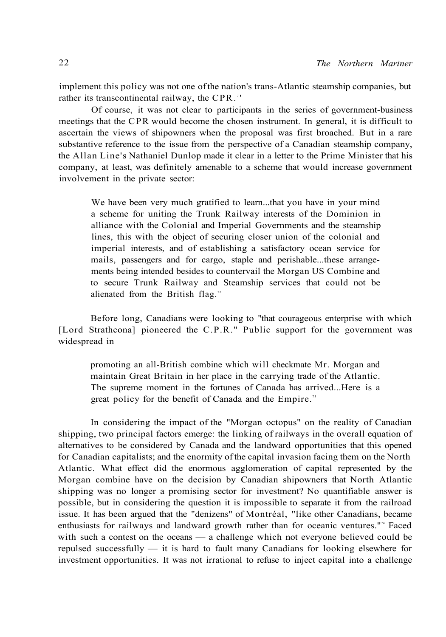implement this policy was not one of the nation's trans-Atlantic steamship companies, but rather its transcontinental railway, the CPR.<sup>71</sup>

Of course, it was not clear to participants in the series of government-business meetings that the CPR would become the chosen instrument. In general, it is difficult to ascertain the views of shipowners when the proposal was first broached. But in a rare substantive reference to the issue from the perspective of a Canadian steamship company, the Allan Line's Nathaniel Dunlop made it clear in a letter to the Prime Minister that his company, at least, was definitely amenable to a scheme that would increase government involvement in the private sector:

We have been very much gratified to learn...that you have in your mind a scheme for uniting the Trunk Railway interests of the Dominion in alliance with the Colonial and Imperial Governments and the steamship lines, this with the object of securing closer union of the colonial and imperial interests, and of establishing a satisfactory ocean service for mails, passengers and for cargo, staple and perishable...these arrangements being intended besides to countervail the Morgan US Combine and to secure Trunk Railway and Steamship services that could not be alienated from the British flag.<sup> $n$ </sup>

Before long, Canadians were looking to "that courageous enterprise with which [Lord Strathcona] pioneered the C.P.R." Public support for the government was widespread in

promoting an all-British combine which will checkmate Mr. Morgan and maintain Great Britain in her place in the carrying trade of the Atlantic. The supreme moment in the fortunes of Canada has arrived...Here is a great policy for the benefit of Canada and the Empire.<sup>73</sup>

In considering the impact of the "Morgan octopus" on the reality of Canadian shipping, two principal factors emerge: the linking of railways in the overall equation of alternatives to be considered by Canada and the landward opportunities that this opened for Canadian capitalists; and the enormity of the capital invasion facing them on the North Atlantic. What effect did the enormous agglomeration of capital represented by the Morgan combine have on the decision by Canadian shipowners that North Atlantic shipping was no longer a promising sector for investment? No quantifiable answer is possible, but in considering the question it is impossible to separate it from the railroad issue. It has been argued that the "denizens" of Montréal, "like other Canadians, became enthusiasts for railways and landward growth rather than for oceanic ventures."<sup>4</sup> Faced with such a contest on the oceans — a challenge which not everyone believed could be repulsed successfully — it is hard to fault many Canadians for looking elsewhere for investment opportunities. It was not irrational to refuse to inject capital into a challenge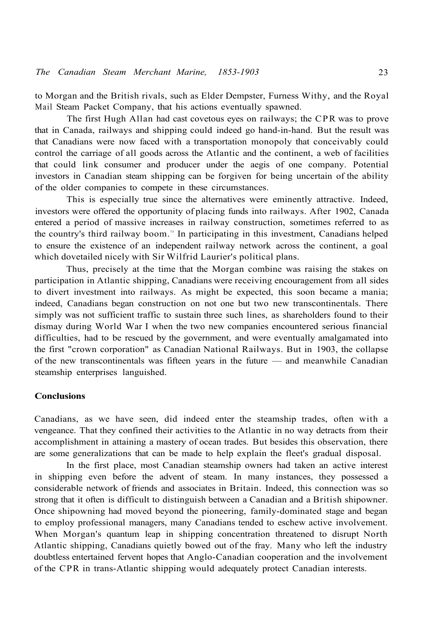to Morgan and the British rivals, such as Elder Dempster, Furness Withy, and the Royal Mail Steam Packet Company, that his actions eventually spawned.

The first Hugh Allan had cast covetous eyes on railways; the CPR was to prove that in Canada, railways and shipping could indeed go hand-in-hand. But the result was that Canadians were now faced with a transportation monopoly that conceivably could control the carriage of all goods across the Atlantic and the continent, a web of facilities that could link consumer and producer under the aegis of one company. Potential investors in Canadian steam shipping can be forgiven for being uncertain of the ability of the older companies to compete in these circumstances.

This is especially true since the alternatives were eminently attractive. Indeed, investors were offered the opportunity of placing funds into railways. After 1902, Canada entered a period of massive increases in railway construction, sometimes referred to as the country's third railway boom.<sup>75</sup> In participating in this investment, Canadians helped to ensure the existence of an independent railway network across the continent, a goal which dovetailed nicely with Sir Wilfrid Laurier's political plans.

Thus, precisely at the time that the Morgan combine was raising the stakes on participation in Atlantic shipping, Canadians were receiving encouragement from all sides to divert investment into railways. As might be expected, this soon became a mania; indeed, Canadians began construction on not one but two new transcontinentals. There simply was not sufficient traffic to sustain three such lines, as shareholders found to their dismay during World War I when the two new companies encountered serious financial difficulties, had to be rescued by the government, and were eventually amalgamated into the first "crown corporation" as Canadian National Railways. But in 1903, the collapse of the new transcontinentals was fifteen years in the future — and meanwhile Canadian steamship enterprises languished.

#### **Conclusions**

Canadians, as we have seen, did indeed enter the steamship trades, often with a vengeance. That they confined their activities to the Atlantic in no way detracts from their accomplishment in attaining a mastery of ocean trades. But besides this observation, there are some generalizations that can be made to help explain the fleet's gradual disposal.

In the first place, most Canadian steamship owners had taken an active interest in shipping even before the advent of steam. In many instances, they possessed a considerable network of friends and associates in Britain. Indeed, this connection was so strong that it often is difficult to distinguish between a Canadian and a British shipowner. Once shipowning had moved beyond the pioneering, family-dominated stage and began to employ professional managers, many Canadians tended to eschew active involvement. When Morgan's quantum leap in shipping concentration threatened to disrupt North Atlantic shipping, Canadians quietly bowed out of the fray. Many who left the industry doubtless entertained fervent hopes that Anglo-Canadian cooperation and the involvement of the CPR in trans-Atlantic shipping would adequately protect Canadian interests.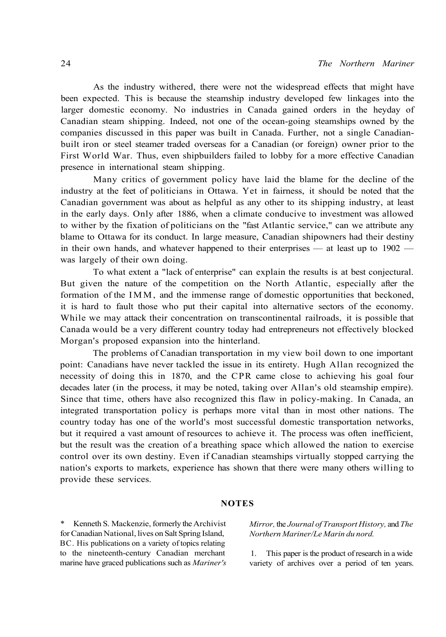As the industry withered, there were not the widespread effects that might have been expected. This is because the steamship industry developed few linkages into the larger domestic economy. No industries in Canada gained orders in the heyday of Canadian steam shipping. Indeed, not one of the ocean-going steamships owned by the companies discussed in this paper was built in Canada. Further, not a single Canadianbuilt iron or steel steamer traded overseas for a Canadian (or foreign) owner prior to the First World War. Thus, even shipbuilders failed to lobby for a more effective Canadian presence in international steam shipping.

Many critics of government policy have laid the blame for the decline of the industry at the feet of politicians in Ottawa. Yet in fairness, it should be noted that the Canadian government was about as helpful as any other to its shipping industry, at least in the early days. Only after 1886, when a climate conducive to investment was allowed to wither by the fixation of politicians on the "fast Atlantic service," can we attribute any blame to Ottawa for its conduct. In large measure, Canadian shipowners had their destiny in their own hands, and whatever happened to their enterprises — at least up to 1902 was largely of their own doing.

To what extent a "lack of enterprise" can explain the results is at best conjectural. But given the nature of the competition on the North Atlantic, especially after the formation of the IMM, and the immense range of domestic opportunities that beckoned, it is hard to fault those who put their capital into alternative sectors of the economy. While we may attack their concentration on transcontinental railroads, it is possible that Canada would be a very different country today had entrepreneurs not effectively blocked Morgan's proposed expansion into the hinterland.

The problems of Canadian transportation in my view boil down to one important point: Canadians have never tackled the issue in its entirety. Hugh Allan recognized the necessity of doing this in 1870, and the CPR came close to achieving his goal four decades later (in the process, it may be noted, taking over Allan's old steamship empire). Since that time, others have also recognized this flaw in policy-making. In Canada, an integrated transportation policy is perhaps more vital than in most other nations. The country today has one of the world's most successful domestic transportation networks, but it required a vast amount of resources to achieve it. The process was often inefficient, but the result was the creation of a breathing space which allowed the nation to exercise control over its own destiny. Even if Canadian steamships virtually stopped carrying the nation's exports to markets, experience has shown that there were many others willing to provide these services.

#### **NOTES**

Kenneth S. Mackenzie, formerly the Archivist for Canadian National, lives on Salt Spring Island, BC. His publications on a variety of topics relating to the nineteenth-century Canadian merchant marine have graced publications such as *Mariner's* 

*Mirror,* the *Journal of Transport History,* and *The Northern Mariner/Le Marin du nord.* 

1. This paper is the product of research in a wide variety of archives over a period of ten years.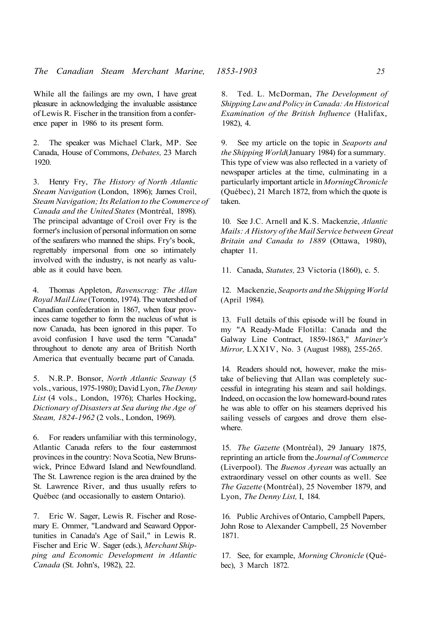While all the failings are my own, I have great pleasure in acknowledging the invaluable assistance of Lewis R. Fischer in the transition from a conference paper in 1986 to its present form.

2. The speaker was Michael Clark, MP. See Canada, House of Commons, *Debates,* 23 March 1920.

3. Henry Fry, *The History of North Atlantic Steam Navigation* (London, 1896); James Croil, *Steam Navigation; Its Relation to the Commerce of Canada and the United States* (Montréal, 1898). The principal advantage of Croil over Fry is the former's inclusion of personal information on some of the seafarers who manned the ships. Fry's book, regrettably impersonal from one so intimately involved with the industry, is not nearly as valuable as it could have been.

4. Thomas Appleton, *Ravenscrag: The Allan Royal Mail Line* (Toronto, 1974). The watershed of Canadian confederation in 1867, when four provinces came together to form the nucleus of what is now Canada, has been ignored in this paper. To avoid confusion I have used the term "Canada" throughout to denote any area of British North America that eventually became part of Canada.

5. N.R.P. Bonsor, *North Atlantic Seaway* (5 vols., various, 1975-1980); David Lyon, *The Denny List* (4 vols., London, 1976); Charles Hocking, *Dictionary of Disasters at Sea during the Age of Steam, 1824-1962* (2 vols., London, 1969).

6. For readers unfamiliar with this terminology, Atlantic Canada refers to the four easternmost provinces in the country: Nova Scotia, New Brunswick, Prince Edward Island and Newfoundland. The St. Lawrence region is the area drained by the St. Lawrence River, and thus usually refers to Québec (and occasionally to eastern Ontario).

7. Eric W. Sager, Lewis R. Fischer and Rosemary E. Ommer, "Landward and Seaward Opportunities in Canada's Age of Sail," in Lewis R. Fischer and Eric W. Sager (eds.), *Merchant Shipping and Economic Development in Atlantic Canada* (St. John's, 1982), 22.

8. Ted. L. McDorman, *The Development of Shipping Law and Policy in Canada: An Historical Examination of the British Influence* (Halifax, 1982), 4.

9. See my article on the topic in *Seaports and the Shipping World*(January 1984) for a summary. This type of view was also reflected in a variety of newspaper articles at the time, culminating in a particularly important article in *MorningChronicle*  (Québec), 21 March 1872, from which the quote is taken.

10. See J.C. Arnell and K.S. Mackenzie, *Atlantic Mails: A History of the Mail Service between Great Britain and Canada to 1889* (Ottawa, 1980), chapter 11.

11. Canada, *Statutes,* 23 Victoria (1860), c. 5.

12. Mackenzie, *Seaports and the Shipping World*  (April 1984).

13. Full details of this episode will be found in my "A Ready-Made Flotilla: Canada and the Galway Line Contract, 1859-1863," *Mariner's Mirror,* LXXIV, No. 3 (August 1988), 255-265.

14. Readers should not, however, make the mistake of believing that Allan was completely successful in integrating his steam and sail holdings. Indeed, on occasion the low homeward-bound rates he was able to offer on his steamers deprived his sailing vessels of cargoes and drove them elsewhere.

15. *The Gazette* (Montréal), 29 January 1875, reprinting an article from the *Journal of Commerce*  (Liverpool). The *Buenos Ayrean* was actually an extraordinary vessel on other counts as well. See *The Gazette* (Montréal), 25 November 1879, and Lyon, *The Denny List,* I, 184.

16. Public Archives of Ontario, Campbell Papers, John Rose to Alexander Campbell, 25 November 1871.

17. See, for example, *Morning Chronicle* (Québec), 3 March 1872.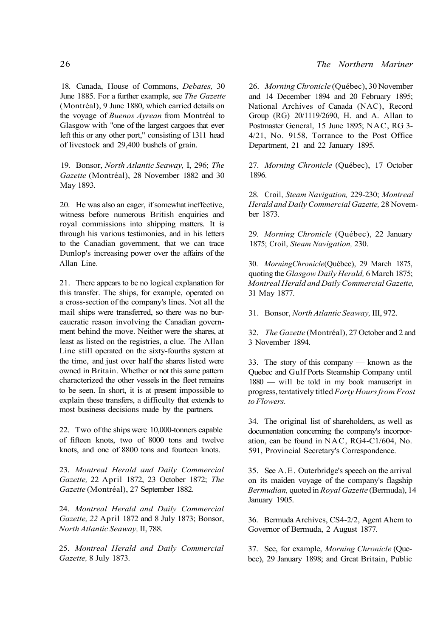18. Canada, House of Commons, *Debates,* 30 June 1885. For a further example, see *The Gazette*  (Montréal), 9 June 1880, which carried details on the voyage of *Buenos Ayrean* from Montréal to Glasgow with "one of the largest cargoes that ever left this or any other port," consisting of 1311 head of livestock and 29,400 bushels of grain.

19. Bonsor, *North Atlantic Seaway,* I, 296; *The Gazette* (Montréal), 28 November 1882 and 30 May 1893.

20. He was also an eager, if somewhat ineffective, witness before numerous British enquiries and royal commissions into shipping matters. It is through his various testimonies, and in his letters to the Canadian government, that we can trace Dunlop's increasing power over the affairs of the Allan Line.

21. There appears to be no logical explanation for this transfer. The ships, for example, operated on a cross-section of the company's lines. Not all the mail ships were transferred, so there was no bureaucratic reason involving the Canadian government behind the move. Neither were the shares, at least as listed on the registries, a clue. The Allan Line still operated on the sixty-fourths system at the time, and just over half the shares listed were owned in Britain. Whether or not this same pattern characterized the other vessels in the fleet remains to be seen. In short, it is at present impossible to explain these transfers, a difficulty that extends to most business decisions made by the partners.

22. Two of the ships were 10,000-tonners capable of fifteen knots, two of 8000 tons and twelve knots, and one of 8800 tons and fourteen knots.

23. *Montreal Herald and Daily Commercial Gazette,* 22 April 1872, 23 October 1872; *The Gazette* (Montréal), 27 September 1882.

24. *Montreal Herald and Daily Commercial Gazette, 22* April 1872 and 8 July 1873; Bonsor, *North Atlantic Seaway,* II, 788.

25. *Montreal Herald and Daily Commercial Gazette,* 8 July 1873.

26. *Morning Chronicle* (Québec), 30 November and 14 December 1894 and 20 February 1895; National Archives of Canada (NAC), Record Group (RG) 20/1119/2690, H. and A. Allan to Postmaster General, 15 June 1895; NAC, RG 3- 4/21, No. 9158, Torrance to the Post Office Department, 21 and 22 January 1895.

27. *Morning Chronicle* (Québec), 17 October 1896.

28. Croil, *Steam Navigation,* 229-230; *Montreal Herald and Daily Commercial Gazette,* 28 November 1873.

29. *Morning Chronicle* (Québec), 22 January 1875; Croil, *Steam Navigation,* 230.

30. *MorningChronicle*(Québec), 29 March 1875, quoting the *Glasgow Daily Herald,* 6 March 1875; *Montreal Herald and Daily Commercial Gazette,*  31 May 1877.

31. Bonsor, *North Atlantic Seaway,* III, 972.

32. *The Gazette* (Montréal), 27 October and 2 and 3 November 1894.

33. The story of this company — known as the Quebec and Gulf Ports Steamship Company until 1880 — will be told in my book manuscript in progress, tentatively titled *Forty Hours from Frost to Flowers.* 

34. The original list of shareholders, as well as documentation concerning the company's incorporation, can be found in NAC, RG4-C1/604, No. 591, Provincial Secretary's Correspondence.

35. See A.E. Outerbridge's speech on the arrival on its maiden voyage of the company's flagship *Bermudian,* quoted in *Royal Gazette* (Bermuda), 14 January 1905.

36. Bermuda Archives, CS4-2/2, Agent Ahem to Governor of Bermuda, 2 August 1877.

37. See, for example, *Morning Chronicle* (Quebec), 29 January 1898; and Great Britain, Public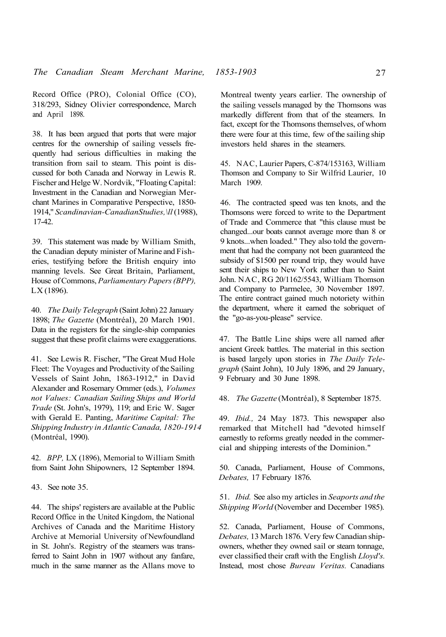Record Office (PRO), Colonial Office (CO), 318/293, Sidney Olivier correspondence, March and April 1898.

38. It has been argued that ports that were major centres for the ownership of sailing vessels frequently had serious difficulties in making the transition from sail to steam. This point is discussed for both Canada and Norway in Lewis R. Fischer and Helge W. Nordvik, "Floating Capital: Investment in the Canadian and Norwegian Merchant Marines in Comparative Perspective, 1850- 1914," *Scandinavian-CanadianStudies,\ll* (1988), 17-42.

39. This statement was made by William Smith, the Canadian deputy minister of Marine and Fisheries, testifying before the British enquiry into manning levels. See Great Britain, Parliament, House of Commons, *Parliamentary Papers (BPP),*  LX (1896).

40. *The Daily Telegraph* (Saint John) 22 January 1898; *The Gazette* (Montréal), 20 March 1901. Data in the registers for the single-ship companies suggest that these profit claims were exaggerations.

41. See Lewis R. Fischer, "The Great Mud Hole Fleet: The Voyages and Productivity of the Sailing Vessels of Saint John, 1863-1912," in David Alexander and Rosemary Ommer (eds.), *Volumes not Values: Canadian Sailing Ships and World Trade* (St. John's, 1979), 119; and Eric W. Sager with Gerald E. Panting, *Maritime Capital: The Shipping Industry in Atlantic Canada, 1820-1914*  (Montréal, 1990).

42. *BPP,* LX (1896), Memorial to William Smith from Saint John Shipowners, 12 September 1894.

43. See note 35.

44. The ships' registers are available at the Public Record Office in the United Kingdom, the National Archives of Canada and the Maritime History Archive at Memorial University of Newfoundland in St. John's. Registry of the steamers was transferred to Saint John in 1907 without any fanfare, much in the same manner as the Allans move to

Montreal twenty years earlier. The ownership of the sailing vessels managed by the Thomsons was markedly different from that of the steamers. In fact, except for the Thomsons themselves, of whom there were four at this time, few of the sailing ship investors held shares in the steamers.

45. NAC, Laurier Papers, C-874/153163, William Thomson and Company to Sir Wilfrid Laurier, 10 March 1909.

46. The contracted speed was ten knots, and the Thomsons were forced to write to the Department of Trade and Commerce that "this clause must be changed...our boats cannot average more than 8 or 9 knots...when loaded." They also told the government that had the company not been guaranteed the subsidy of \$1500 per round trip, they would have sent their ships to New York rather than to Saint John. NAC, RG 20/1162/5543, William Thomson and Company to Parmelee, 30 November 1897. The entire contract gained much notoriety within the department, where it earned the sobriquet of the "go-as-you-please" service.

47. The Battle Line ships were all named after ancient Greek battles. The material in this section is based largely upon stories in *The Daily Telegraph* (Saint John), 10 July 1896, and 29 January, 9 February and 30 June 1898.

48. *The Gazette* (Montréal), 8 September 1875.

49. *Ibid.,* 24 May 1873. This newspaper also remarked that Mitchell had "devoted himself earnestly to reforms greatly needed in the commercial and shipping interests of the Dominion."

50. Canada, Parliament, House of Commons, *Debates,* 17 February 1876.

51. *Ibid.* See also my articles in *Seaports and the Shipping World* (November and December 1985).

52. Canada, Parliament, House of Commons, *Debates,* 13 March 1876. Very few Canadian shipowners, whether they owned sail or steam tonnage, ever classified their craft with the English *Lloyd's.*  Instead, most chose *Bureau Veritas.* Canadians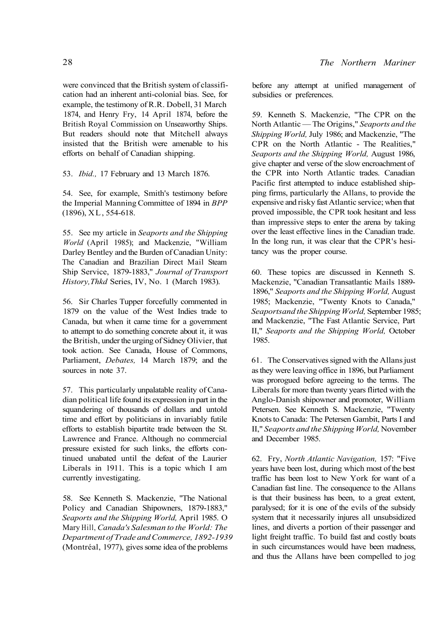were convinced that the British system of classification had an inherent anti-colonial bias. See, for example, the testimony of R.R. Dobell, 31 March 1874, and Henry Fry, 14 April 1874, before the British Royal Commission on Unseaworthy Ships. But readers should note that Mitchell always insisted that the British were amenable to his efforts on behalf of Canadian shipping.

53. *Ibid.,* 17 February and 13 March 1876.

54. See, for example, Smith's testimony before the Imperial Manning Committee of 1894 in *BPP*  (1896), XL, 554-618.

55. See my article in *Seaports and the Shipping World* (April 1985); and Mackenzie, "William Darley Bentley and the Burden of Canadian Unity: The Canadian and Brazilian Direct Mail Steam Ship Service, 1879-1883," *Journal of Transport History,Thkd* Series, IV, No. 1 (March 1983).

56. Sir Charles Tupper forcefully commented in 1879 on the value of the West Indies trade to Canada, but when it came time for a government to attempt to do something concrete about it, it was the British, under the urging of Sidney Olivier, that took action. See Canada, House of Commons, Parliament, *Debates,* 14 March 1879; and the sources in note 37.

57. This particularly unpalatable reality of Canadian political life found its expression in part in the squandering of thousands of dollars and untold time and effort by politicians in invariably futile efforts to establish bipartite trade between the St. Lawrence and France. Although no commercial pressure existed for such links, the efforts continued unabated until the defeat of the Laurier Liberals in 1911. This is a topic which I am currently investigating.

58. See Kenneth S. Mackenzie, "The National Policy and Canadian Shipowners, 1879-1883," *Seaports and the Shipping World,* April 1985. O Mary Hill, *Canada's Salesman to the World: The Department of Trade and Commerce, 1892-1939*  (Montréal, 1977), gives some idea of the problems

before any attempt at unified management of subsidies or preferences.

59. Kenneth S. Mackenzie, "The CPR on the North Atlantic — The Origins," *Seaports and the Shipping World,* July 1986; and Mackenzie, "The CPR on the North Atlantic - The Realities," *Seaports and the Shipping World,* August 1986, give chapter and verse of the slow encroachment of the CPR into North Atlantic trades. Canadian Pacific first attempted to induce established shipping firms, particularly the Allans, to provide the expensive and risky fast Atlantic service; when that proved impossible, the CPR took hesitant and less than impressive steps to enter the arena by taking over the least effective lines in the Canadian trade. In the long run, it was clear that the CPR's hesitancy was the proper course.

60. These topics are discussed in Kenneth S. Mackenzie, "Canadian Transatlantic Mails 1889- 1896," *Seaports and the Shipping World,* August 1985; Mackenzie, "Twenty Knots to Canada," *Seaportsand the Shipping World,* September 1985; and Mackenzie, "The Fast Atlantic Service, Part II," *Seaports and the Shipping World,* October 1985.

61. The Conservatives signed with the Allans just as they were leaving office in 1896, but Parliament was prorogued before agreeing to the terms. The Liberals for more than twenty years flirted with the Anglo-Danish shipowner and promoter, William Petersen. See Kenneth S. Mackenzie, "Twenty Knots to Canada: The Petersen Gambit, Parts I and II," *Seaports and the Shipping World,* November and December 1985.

62. Fry, *North Atlantic Navigation,* 157: "Five years have been lost, during which most of the best traffic has been lost to New York for want of a Canadian fast line. The consequence to the Allans is that their business has been, to a great extent, paralysed; for it is one of the evils of the subsidy system that it necessarily injures all unsubsidized lines, and diverts a portion of their passenger and light freight traffic. To build fast and costly boats in such circumstances would have been madness, and thus the Allans have been compelled to jog